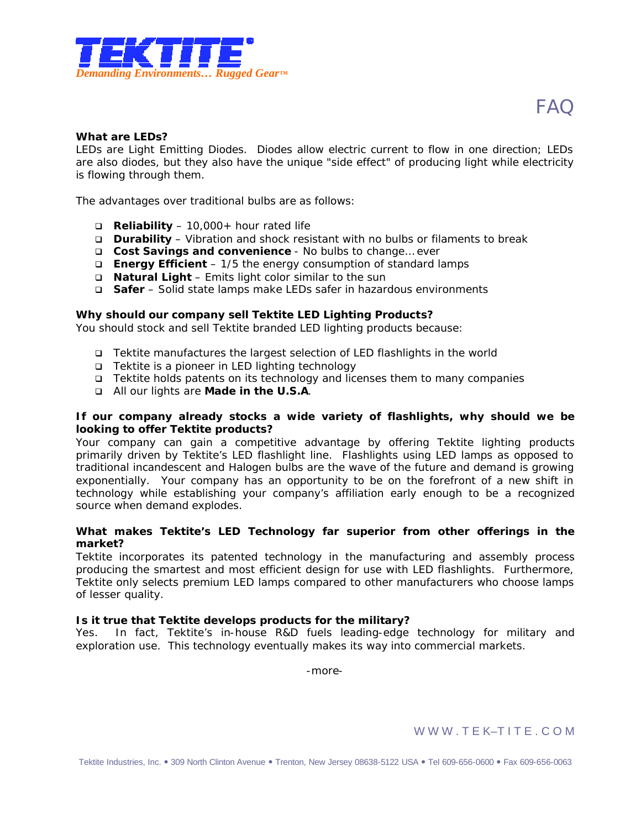

# **FAQ**

## **What are LEDs?**

LEDs are *Light Emitting Diodes*. Diodes allow electric current to flow in one direction; LEDs are also diodes, but they also have the unique "side effect" of producing light while electricity is flowing through them.

The advantages over traditional bulbs are as follows:

- q **Reliability** 10,000+ hour rated life
- q **Durability**  Vibration and shock resistant with no bulbs or filaments to break
- q **Cost Savings and convenience** No bulbs to change… ever
- q **Energy Efficient** 1/5 the energy consumption of standard lamps
- q **Natural Light**  Emits light color similar to the sun
- q **Safer** Solid state lamps make LEDs safer in hazardous environments

#### **Why should our company sell Tektite LED Lighting Products?**

You should stock and sell Tektite branded LED lighting products because:

- q Tektite manufactures the largest selection of LED flashlights in the world
- q Tektite is a pioneer in LED lighting technology
- q Tektite holds patents on its technology and licenses them to many companies
- q All our lights are **Made in the U.S.A**.

## **If our company already stocks a wide variety of flashlights, why should we be looking to offer Tektite products?**

Your company can gain a competitive advantage by offering Tektite lighting products primarily driven by Tektite's LED flashlight line. Flashlights using LED lamps as opposed to traditional incandescent and Halogen bulbs are the wave of the future and demand is growing exponentially. Your company has an opportunity to be on the forefront of a new shift in technology while establishing your company's affiliation early enough to be a recognized source when demand explodes.

## **What makes Tektite's LED Technology far superior from other offerings in the market?**

Tektite incorporates its patented technology in the manufacturing and assembly process producing the smartest and most efficient design for use with LED flashlights. Furthermore, Tektite only selects premium LED lamps compared to other manufacturers who choose lamps of lesser quality.

## **Is it true that Tektite develops products for the military?**

In fact, Tektite's in-house R&D fuels leading-edge technology for military and exploration use. This technology eventually makes its way into commercial markets.

-more-

WWW.TEK-TITE.COM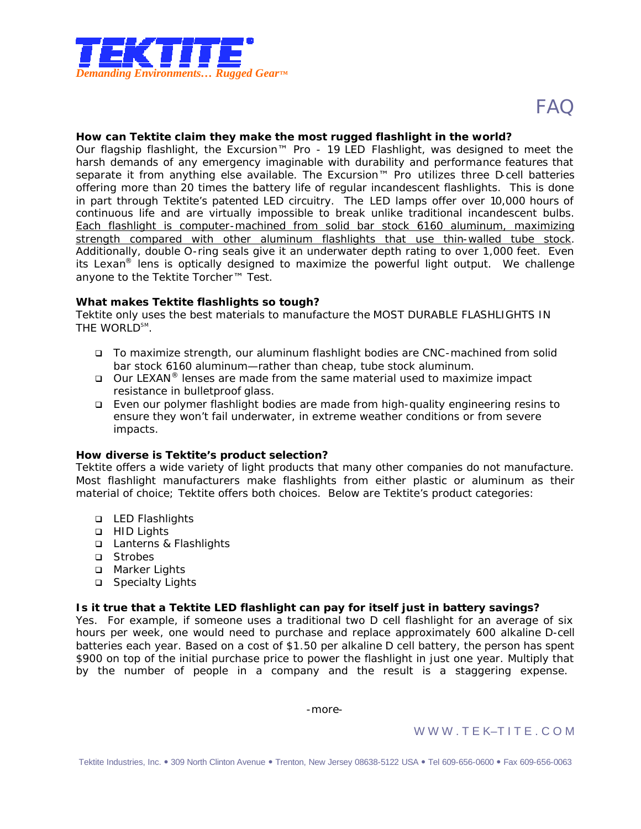

#### **How can Tektite claim they make the most rugged flashlight in the world?**

Our flagship flashlight, the Excursion™ Pro - 19 LED Flashlight, was designed to meet the harsh demands of any emergency imaginable with durability and performance features that separate it from anything else available. The Excursion<sup>™</sup> Pro utilizes three D-cell batteries offering more than 20 times the battery life of regular incandescent flashlights. This is done in part through Tektite's patented LED circuitry. The LED lamps offer over 10,000 hours of continuous life and are virtually impossible to break unlike traditional incandescent bulbs. Each flashlight is computer-machined from solid bar stock 6160 aluminum, maximizing strength compared with other aluminum flashlights that use thin-walled tube stock. Additionally, double O-ring seals give it an underwater depth rating to over 1,000 feet. Even its Lexan<sup>®</sup> lens is optically designed to maximize the powerful light output. We challenge anyone to the Tektite Torcher™ Test.

#### **What makes Tektite flashlights so tough?**

Tektite only uses the best materials to manufacture the MOST DURABLE FLASHLIGHTS IN THE WORLD<sup>SM</sup>.

- q To maximize strength, our aluminum flashlight bodies are CNC-machined from solid bar stock 6160 aluminum—rather than cheap, tube stock aluminum.
- $Q$  Our LEXAN<sup>®</sup> lenses are made from the same material used to maximize impact resistance in bulletproof glass.
- q Even our polymer flashlight bodies are made from high-quality engineering resins to ensure they won't fail underwater, in extreme weather conditions or from severe impacts.

# **How diverse is Tektite's product selection?**

Tektite offers a wide variety of light products that many other companies do not manufacture. Most flashlight manufacturers make flashlights from either plastic or aluminum as their material of choice; Tektite offers both choices. Below are Tektite's product categories:

- **Q** LED Flashlights
- **q** HID Lights
- q Lanterns & Flashlights
- q Strobes
- □ Marker Lights
- **q** Specialty Lights

#### **Is it true that a Tektite LED flashlight can pay for itself just in battery savings?**

Yes. For example, if someone uses a traditional two D cell flashlight for an average of six hours per week, one would need to purchase and replace approximately 600 alkaline D-cell batteries each year. Based on a cost of \$1.50 per alkaline D cell battery, the person has spent \$900 on top of the initial purchase price to power the flashlight in just one year. Multiply that by the number of people in a company and the result is a staggering expense.

-more-

# WWW.TEK-TITE.COM